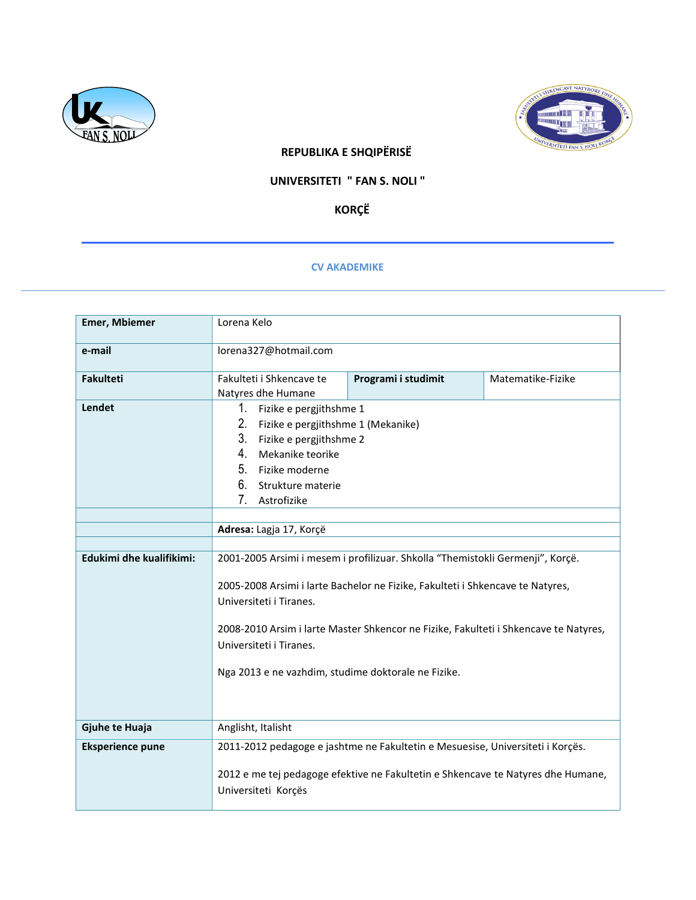



## **REPUBLIKA E SHQIPËRISË**

## **UNIVERSITETI " FAN S. NOLI "**

 **KORÇË**

## **CV AKADEMIKE**

| <b>Emer, Mbiemer</b>     | Lorena Kelo                                                                                                                                                                                                                                                                                                                                                           |                                                                                                                                                                    |                   |
|--------------------------|-----------------------------------------------------------------------------------------------------------------------------------------------------------------------------------------------------------------------------------------------------------------------------------------------------------------------------------------------------------------------|--------------------------------------------------------------------------------------------------------------------------------------------------------------------|-------------------|
| e-mail                   | lorena327@hotmail.com                                                                                                                                                                                                                                                                                                                                                 |                                                                                                                                                                    |                   |
| <b>Fakulteti</b>         | Fakulteti i Shkencave te<br>Natyres dhe Humane                                                                                                                                                                                                                                                                                                                        | Programi i studimit                                                                                                                                                | Matematike-Fizike |
| Lendet                   | 1.<br>Fizike e pergjithshme 1<br>2.<br>Fizike e pergjithshme 1 (Mekanike)<br>3.<br>Fizike e pergjithshme 2<br>4.<br>Mekanike teorike<br>5.<br>Fizike moderne<br>6.<br>Strukture materie<br>7.<br>Astrofizike<br>Adresa: Lagja 17, Korçë                                                                                                                               |                                                                                                                                                                    |                   |
|                          |                                                                                                                                                                                                                                                                                                                                                                       |                                                                                                                                                                    |                   |
| Edukimi dhe kualifikimi: | 2001-2005 Arsimi i mesem i profilizuar. Shkolla "Themistokli Germenji", Korçë.<br>2005-2008 Arsimi i larte Bachelor ne Fizike, Fakulteti i Shkencave te Natyres,<br>Universiteti i Tiranes.<br>2008-2010 Arsim i larte Master Shkencor ne Fizike, Fakulteti i Shkencave te Natyres,<br>Universiteti i Tiranes.<br>Nga 2013 e ne vazhdim, studime doktorale ne Fizike. |                                                                                                                                                                    |                   |
| Gjuhe te Huaja           | Anglisht, Italisht                                                                                                                                                                                                                                                                                                                                                    |                                                                                                                                                                    |                   |
| <b>Eksperience pune</b>  | Universiteti Korçës                                                                                                                                                                                                                                                                                                                                                   | 2011-2012 pedagoge e jashtme ne Fakultetin e Mesuesise, Universiteti i Korçës.<br>2012 e me tej pedagoge efektive ne Fakultetin e Shkencave te Natyres dhe Humane, |                   |